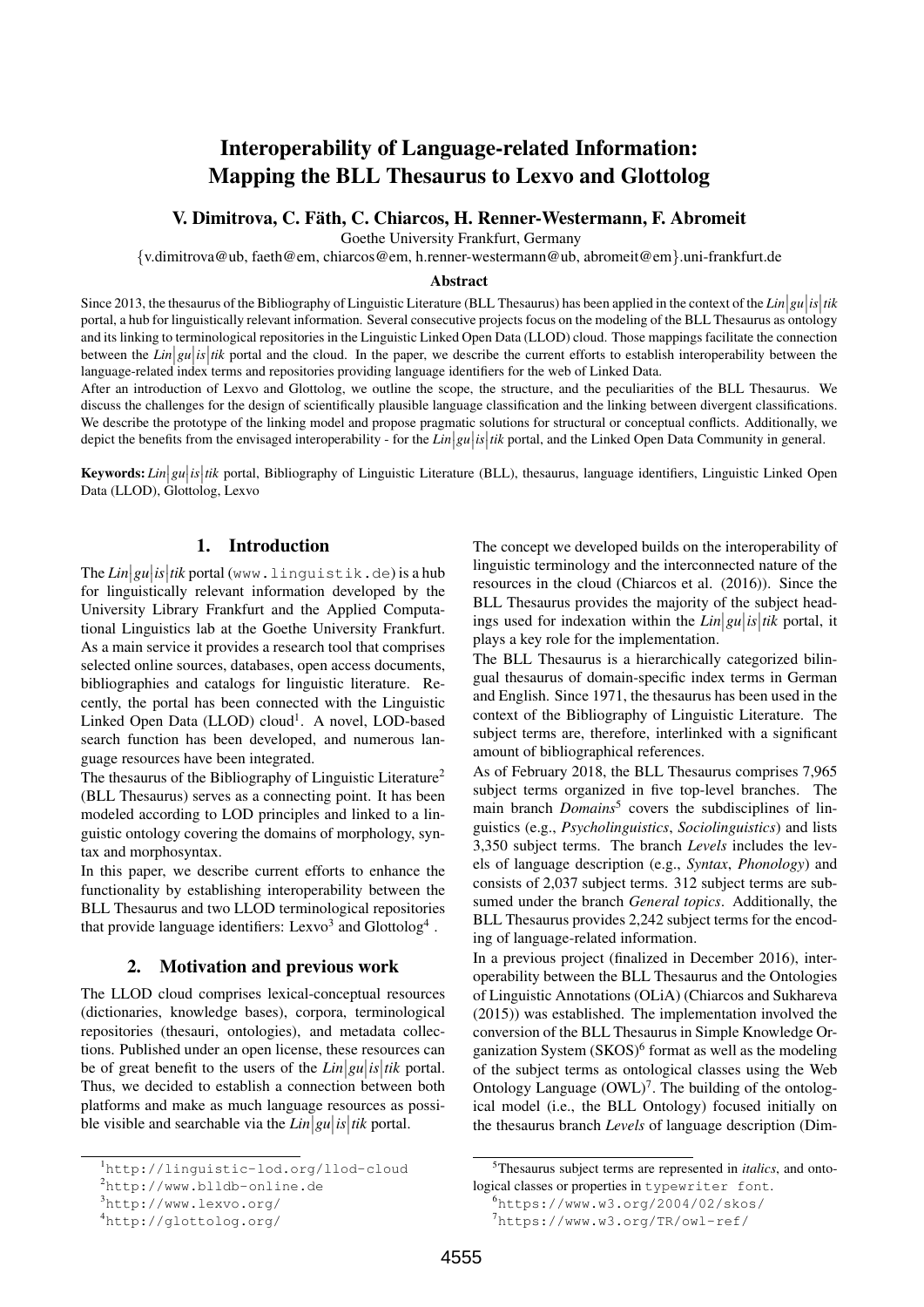# Interoperability of Language-related Information: Mapping the BLL Thesaurus to Lexvo and Glottolog

### V. Dimitrova, C. Fath, C. Chiarcos, H. Renner-Westermann, F. Abromeit ¨

Goethe University Frankfurt, Germany

{v.dimitrova@ub, faeth@em, chiarcos@em, h.renner-westermann@ub, abromeit@em}.uni-frankfurt.de

#### Abstract

Since 2013, the thesaurus of the Bibliography of Linguistic Literature (BLL Thesaurus) has been applied in the context of the  $Lin|gu|is|tik$ portal, a hub for linguistically relevant information. Several consecutive projects focus on the modeling of the BLL Thesaurus as ontology and its linking to terminological repositories in the Linguistic Linked Open Data (LLOD) cloud. Those mappings facilitate the connection between the  $Lin|gu|is|tik$  portal and the cloud. In the paper, we describe the current efforts to establish interoperability between the large stational property in the paper is the stationary of the stationary intervals of language-related index terms and repositories providing language identifiers for the web of Linked Data.

After an introduction of Lexvo and Glottolog, we outline the scope, the structure, and the peculiarities of the BLL Thesaurus. We discuss the challenges for the design of scientifically plausible language classification and the linking between divergent classifications. We describe the prototype of the linking model and propose pragmatic solutions for structural or conceptual conflicts. Additionally, we depict the benefits from the envisaged interoperability - for the  $Lin|gu|is|tik$  portal, and the Linked Open Data Community in general.

**Keywords:** *Lin*|gu|is|tik portal, Bibliography of Linguistic Literature (BLL), thesaurus, language identifiers, Linguistic Linked Open Data (LLOD), Glottolog, Lexvo

### 1. Introduction

The *Lin gu is tik* portal (www.linguistik.de) is a hub for linguistically relevant information developed by the University Library Frankfurt and the Applied Computational Linguistics lab at the Goethe University Frankfurt. As a main service it provides a research tool that comprises selected online sources, databases, open access documents, bibliographies and catalogs for linguistic literature. Recently, the portal has been connected with the Linguistic Linked Open Data (LLOD) cloud<sup>1</sup>. A novel, LOD-based search function has been developed, and numerous language resources have been integrated.

The thesaurus of the Bibliography of Linguistic Literature<sup>2</sup> (BLL Thesaurus) serves as a connecting point. It has been modeled according to LOD principles and linked to a linguistic ontology covering the domains of morphology, syntax and morphosyntax.

In this paper, we describe current efforts to enhance the functionality by establishing interoperability between the BLL Thesaurus and two LLOD terminological repositories that provide language identifiers: Lexvo<sup>3</sup> and Glottolog<sup>4</sup>.

#### 2. Motivation and previous work

The LLOD cloud comprises lexical-conceptual resources (dictionaries, knowledge bases), corpora, terminological repositories (thesauri, ontologies), and metadata collections. Published under an open license, these resources can be of great benefit to the users of the  $Lin|gu|$  *is*  $|tik$  portal. Thus, we decided to establish a connection between both platforms and make as much language resources as possible visible and searchable via the  $Lin|gu|$ *is* |*tik* portal.

The concept we developed builds on the interoperability of linguistic terminology and the interconnected nature of the resources in the cloud (Chiarcos et al. (2016)). Since the BLL Thesaurus provides the majority of the subject headings used for indexation within the  $Lin|gu|$  *is*  $|tik$  portal, it plays a key role for the implementation.

The BLL Thesaurus is a hierarchically categorized bilingual thesaurus of domain-specific index terms in German and English. Since 1971, the thesaurus has been used in the context of the Bibliography of Linguistic Literature. The subject terms are, therefore, interlinked with a significant amount of bibliographical references.

As of February 2018, the BLL Thesaurus comprises 7,965 subject terms organized in five top-level branches. The main branch *Domains*<sup>5</sup> covers the subdisciplines of linguistics (e.g., *Psycholinguistics*, *Sociolinguistics*) and lists 3,350 subject terms. The branch *Levels* includes the levels of language description (e.g., *Syntax*, *Phonology*) and consists of 2,037 subject terms. 312 subject terms are subsumed under the branch *General topics*. Additionally, the BLL Thesaurus provides 2,242 subject terms for the encoding of language-related information.

In a previous project (finalized in December 2016), interoperability between the BLL Thesaurus and the Ontologies of Linguistic Annotations (OLiA) (Chiarcos and Sukhareva (2015)) was established. The implementation involved the conversion of the BLL Thesaurus in Simple Knowledge Organization System  $(SKOS)^6$  format as well as the modeling of the subject terms as ontological classes using the Web Ontology Language  $(OWL)^7$ . The building of the ontological model (i.e., the BLL Ontology) focused initially on the thesaurus branch *Levels* of language description (Dim-

<sup>1</sup>http://linguistic-lod.org/llod-cloud

<sup>2</sup>http://www.blldb-online.de

<sup>3</sup>http://www.lexvo.org/

<sup>4</sup>http://glottolog.org/

<sup>5</sup>Thesaurus subject terms are represented in *italics*, and ontological classes or properties in typewriter font.

<sup>6</sup>https://www.w3.org/2004/02/skos/

<sup>7</sup>https://www.w3.org/TR/owl-ref/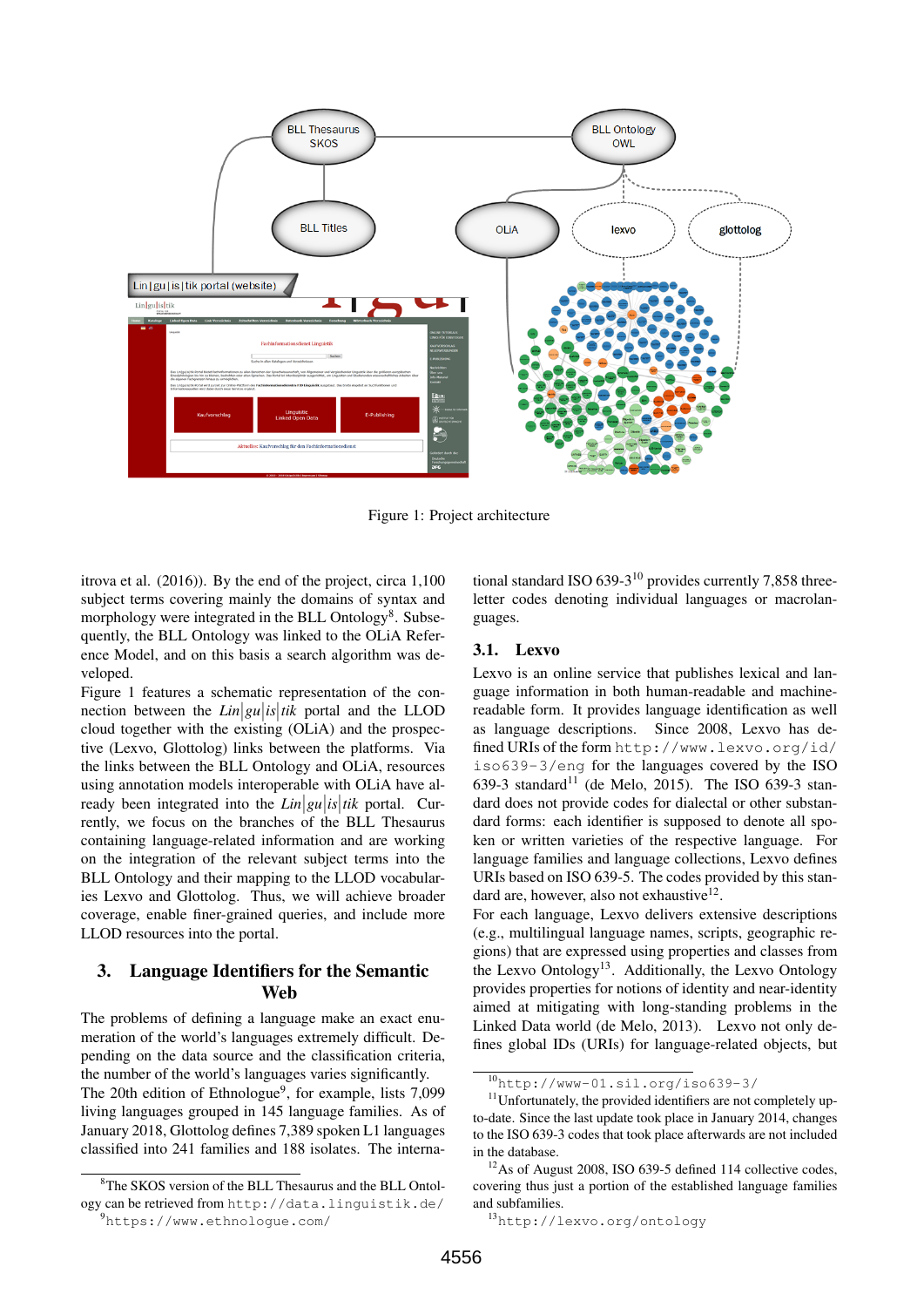

Figure 1: Project architecture

itrova et al. (2016)). By the end of the project, circa 1,100 subject terms covering mainly the domains of syntax and morphology were integrated in the BLL Ontology<sup>8</sup>. Subsequently, the BLL Ontology was linked to the OLiA Reference Model, and on this basis a search algorithm was developed.

Figure 1 features a schematic representation of the connection between the  $Lin|gu|is|tik$  portal and the LLOD cloud together with the existing (OLiA) and the prospective (Lexvo, Glottolog) links between the platforms. Via the links between the BLL Ontology and OLiA, resources using annotation models interoperable with OLiA have already been integrated into the  $Lin|gu|$  *is*  $|tik$  portal. Currently, we focus on the branches of the BLL Thesaurus containing language-related information and are working on the integration of the relevant subject terms into the BLL Ontology and their mapping to the LLOD vocabularies Lexvo and Glottolog. Thus, we will achieve broader coverage, enable finer-grained queries, and include more LLOD resources into the portal.

## 3. Language Identifiers for the Semantic Web

The problems of defining a language make an exact enumeration of the world's languages extremely difficult. Depending on the data source and the classification criteria, the number of the world's languages varies significantly. The 20th edition of Ethnologue<sup>9</sup>, for example, lists 7,099 living languages grouped in 145 language families. As of January 2018, Glottolog defines 7,389 spoken L1 languages classified into 241 families and 188 isolates. The interna-

<sup>9</sup>https://www.ethnologue.com/

tional standard ISO 639-3<sup>10</sup> provides currently 7,858 threeletter codes denoting individual languages or macrolanguages.

#### 3.1. Lexvo

Lexvo is an online service that publishes lexical and language information in both human-readable and machinereadable form. It provides language identification as well as language descriptions. Since 2008, Lexvo has defined URIs of the form http://www.lexvo.org/id/ iso639-3/eng for the languages covered by the ISO 639-3 standard<sup>11</sup> (de Melo, 2015). The ISO 639-3 standard does not provide codes for dialectal or other substandard forms: each identifier is supposed to denote all spoken or written varieties of the respective language. For language families and language collections, Lexvo defines URIs based on ISO 639-5. The codes provided by this standard are, however, also not exhaustive<sup>12</sup>.

For each language, Lexvo delivers extensive descriptions (e.g., multilingual language names, scripts, geographic regions) that are expressed using properties and classes from the Lexvo Ontology<sup>13</sup>. Additionally, the Lexvo Ontology provides properties for notions of identity and near-identity aimed at mitigating with long-standing problems in the Linked Data world (de Melo, 2013). Lexvo not only defines global IDs (URIs) for language-related objects, but

<sup>&</sup>lt;sup>8</sup>The SKOS version of the BLL Thesaurus and the BLL Ontology can be retrieved from http://data.linguistik.de/

<sup>10</sup>http://www-01.sil.org/iso639-3/

 $11$ Unfortunately, the provided identifiers are not completely upto-date. Since the last update took place in January 2014, changes to the ISO 639-3 codes that took place afterwards are not included in the database.

 $12$ As of August 2008, ISO 639-5 defined 114 collective codes, covering thus just a portion of the established language families and subfamilies.

<sup>13</sup>http://lexvo.org/ontology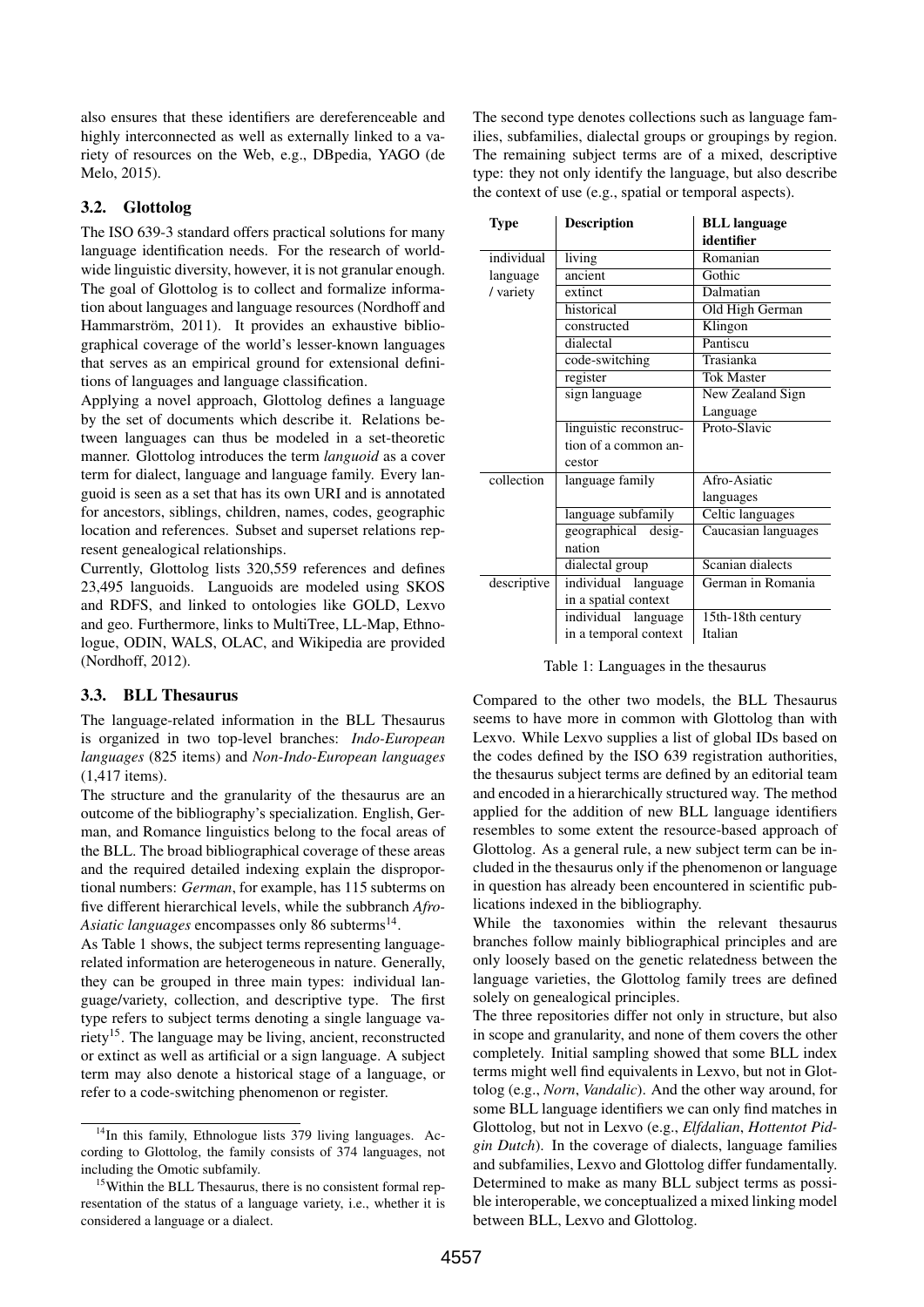also ensures that these identifiers are dereferenceable and highly interconnected as well as externally linked to a variety of resources on the Web, e.g., DBpedia, YAGO (de Melo, 2015).

### 3.2. Glottolog

The ISO 639-3 standard offers practical solutions for many language identification needs. For the research of worldwide linguistic diversity, however, it is not granular enough. The goal of Glottolog is to collect and formalize information about languages and language resources (Nordhoff and Hammarström, 2011). It provides an exhaustive bibliographical coverage of the world's lesser-known languages that serves as an empirical ground for extensional definitions of languages and language classification.

Applying a novel approach, Glottolog defines a language by the set of documents which describe it. Relations between languages can thus be modeled in a set-theoretic manner. Glottolog introduces the term *languoid* as a cover term for dialect, language and language family. Every languoid is seen as a set that has its own URI and is annotated for ancestors, siblings, children, names, codes, geographic location and references. Subset and superset relations represent genealogical relationships.

Currently, Glottolog lists 320,559 references and defines 23,495 languoids. Languoids are modeled using SKOS and RDFS, and linked to ontologies like GOLD, Lexvo and geo. Furthermore, links to MultiTree, LL-Map, Ethnologue, ODIN, WALS, OLAC, and Wikipedia are provided (Nordhoff, 2012).

### 3.3. BLL Thesaurus

The language-related information in the BLL Thesaurus is organized in two top-level branches: *Indo-European languages* (825 items) and *Non-Indo-European languages* (1,417 items).

The structure and the granularity of the thesaurus are an outcome of the bibliography's specialization. English, German, and Romance linguistics belong to the focal areas of the BLL. The broad bibliographical coverage of these areas and the required detailed indexing explain the disproportional numbers: *German*, for example, has 115 subterms on five different hierarchical levels, while the subbranch *Afro-*Asiatic languages encompasses only 86 subterms<sup>14</sup>.

As Table 1 shows, the subject terms representing languagerelated information are heterogeneous in nature. Generally, they can be grouped in three main types: individual language/variety, collection, and descriptive type. The first type refers to subject terms denoting a single language variety<sup>15</sup>. The language may be living, ancient, reconstructed or extinct as well as artificial or a sign language. A subject term may also denote a historical stage of a language, or refer to a code-switching phenomenon or register.

The second type denotes collections such as language families, subfamilies, dialectal groups or groupings by region. The remaining subject terms are of a mixed, descriptive type: they not only identify the language, but also describe the context of use (e.g., spatial or temporal aspects).

| Type        | <b>Description</b>     | <b>BLL</b> language     |
|-------------|------------------------|-------------------------|
|             |                        | identifier              |
| individual  | living                 | Romanian                |
| language    | ancient                | Gothic                  |
| / variety   | extinct                | Dalmatian               |
|             | historical             | Old High German         |
|             | constructed            | Klingon                 |
|             | dialectal              | Pantiscu                |
|             | code-switching         | Trasianka               |
|             | register               | <b>Tok Master</b>       |
|             | sign language          | New Zealand Sign        |
|             |                        | Language                |
|             | linguistic reconstruc- | Proto-Slavic            |
|             | tion of a common an-   |                         |
|             | cestor                 |                         |
| collection  | language family        | Afro-Asiatic            |
|             |                        | languages               |
|             | language subfamily     | <b>Celtic languages</b> |
|             | geographical desig-    | Caucasian languages     |
|             | nation                 |                         |
|             | dialectal group        | Scanian dialects        |
| descriptive | individual<br>language | German in Romania       |
|             | in a spatial context   |                         |
|             | individual<br>language | 15th-18th century       |
|             | in a temporal context  | Italian                 |

Table 1: Languages in the thesaurus

Compared to the other two models, the BLL Thesaurus seems to have more in common with Glottolog than with Lexvo. While Lexvo supplies a list of global IDs based on the codes defined by the ISO 639 registration authorities, the thesaurus subject terms are defined by an editorial team and encoded in a hierarchically structured way. The method applied for the addition of new BLL language identifiers resembles to some extent the resource-based approach of Glottolog. As a general rule, a new subject term can be included in the thesaurus only if the phenomenon or language in question has already been encountered in scientific publications indexed in the bibliography.

While the taxonomies within the relevant thesaurus branches follow mainly bibliographical principles and are only loosely based on the genetic relatedness between the language varieties, the Glottolog family trees are defined solely on genealogical principles.

The three repositories differ not only in structure, but also in scope and granularity, and none of them covers the other completely. Initial sampling showed that some BLL index terms might well find equivalents in Lexvo, but not in Glottolog (e.g., *Norn*, *Vandalic*). And the other way around, for some BLL language identifiers we can only find matches in Glottolog, but not in Lexvo (e.g., *Elfdalian*, *Hottentot Pidgin Dutch*). In the coverage of dialects, language families and subfamilies, Lexvo and Glottolog differ fundamentally. Determined to make as many BLL subject terms as possible interoperable, we conceptualized a mixed linking model between BLL, Lexvo and Glottolog.

 $14$ In this family, Ethnologue lists 379 living languages. According to Glottolog, the family consists of 374 languages, not including the Omotic subfamily.

<sup>&</sup>lt;sup>15</sup>Within the BLL Thesaurus, there is no consistent formal representation of the status of a language variety, i.e., whether it is considered a language or a dialect.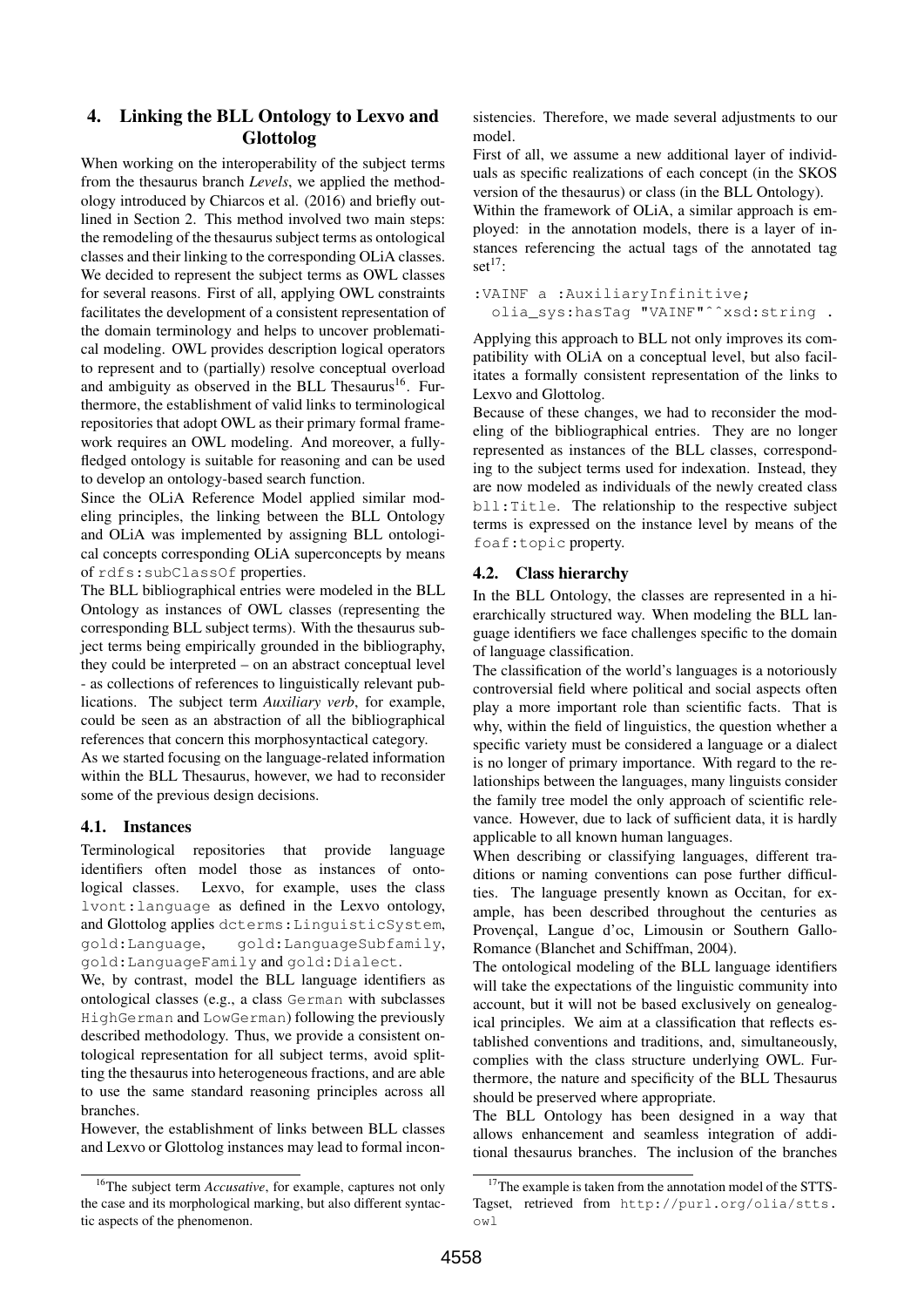# 4. Linking the BLL Ontology to Lexvo and Glottolog

When working on the interoperability of the subject terms from the thesaurus branch *Levels*, we applied the methodology introduced by Chiarcos et al. (2016) and briefly outlined in Section 2. This method involved two main steps: the remodeling of the thesaurus subject terms as ontological classes and their linking to the corresponding OLiA classes. We decided to represent the subject terms as OWL classes for several reasons. First of all, applying OWL constraints facilitates the development of a consistent representation of the domain terminology and helps to uncover problematical modeling. OWL provides description logical operators to represent and to (partially) resolve conceptual overload and ambiguity as observed in the BLL Thesaurus<sup>16</sup>. Furthermore, the establishment of valid links to terminological repositories that adopt OWL as their primary formal framework requires an OWL modeling. And moreover, a fullyfledged ontology is suitable for reasoning and can be used to develop an ontology-based search function.

Since the OLiA Reference Model applied similar modeling principles, the linking between the BLL Ontology and OLiA was implemented by assigning BLL ontological concepts corresponding OLiA superconcepts by means of rdfs:subClassOf properties.

The BLL bibliographical entries were modeled in the BLL Ontology as instances of OWL classes (representing the corresponding BLL subject terms). With the thesaurus subject terms being empirically grounded in the bibliography, they could be interpreted – on an abstract conceptual level - as collections of references to linguistically relevant publications. The subject term *Auxiliary verb*, for example, could be seen as an abstraction of all the bibliographical references that concern this morphosyntactical category.

As we started focusing on the language-related information within the BLL Thesaurus, however, we had to reconsider some of the previous design decisions.

### 4.1. Instances

Terminological repositories that provide language identifiers often model those as instances of ontological classes. Lexvo, for example, uses the class lvont:language as defined in the Lexvo ontology, and Glottolog applies dcterms:LinguisticSystem, gold:Language, gold:LanguageSubfamily, gold:LanguageFamily and gold:Dialect.

We, by contrast, model the BLL language identifiers as ontological classes (e.g., a class German with subclasses HighGerman and LowGerman) following the previously described methodology. Thus, we provide a consistent ontological representation for all subject terms, avoid splitting the thesaurus into heterogeneous fractions, and are able to use the same standard reasoning principles across all branches.

However, the establishment of links between BLL classes and Lexvo or Glottolog instances may lead to formal inconsistencies. Therefore, we made several adjustments to our model.

First of all, we assume a new additional layer of individuals as specific realizations of each concept (in the SKOS version of the thesaurus) or class (in the BLL Ontology).

Within the framework of OLiA, a similar approach is employed: in the annotation models, there is a layer of instances referencing the actual tags of the annotated tag set $^{17}$ :

```
:VAINF a :AuxiliaryInfinitive;
olia_sys:hasTag "VAINF"ˆˆxsd:string .
```
Applying this approach to BLL not only improves its compatibility with OLiA on a conceptual level, but also facilitates a formally consistent representation of the links to Lexvo and Glottolog.

Because of these changes, we had to reconsider the modeling of the bibliographical entries. They are no longer represented as instances of the BLL classes, corresponding to the subject terms used for indexation. Instead, they are now modeled as individuals of the newly created class bll:Title. The relationship to the respective subject terms is expressed on the instance level by means of the foaf:topic property.

# 4.2. Class hierarchy

In the BLL Ontology, the classes are represented in a hierarchically structured way. When modeling the BLL language identifiers we face challenges specific to the domain of language classification.

The classification of the world's languages is a notoriously controversial field where political and social aspects often play a more important role than scientific facts. That is why, within the field of linguistics, the question whether a specific variety must be considered a language or a dialect is no longer of primary importance. With regard to the relationships between the languages, many linguists consider the family tree model the only approach of scientific relevance. However, due to lack of sufficient data, it is hardly applicable to all known human languages.

When describing or classifying languages, different traditions or naming conventions can pose further difficulties. The language presently known as Occitan, for example, has been described throughout the centuries as Provençal, Langue d'oc, Limousin or Southern Gallo-Romance (Blanchet and Schiffman, 2004).

The ontological modeling of the BLL language identifiers will take the expectations of the linguistic community into account, but it will not be based exclusively on genealogical principles. We aim at a classification that reflects established conventions and traditions, and, simultaneously, complies with the class structure underlying OWL. Furthermore, the nature and specificity of the BLL Thesaurus should be preserved where appropriate.

The BLL Ontology has been designed in a way that allows enhancement and seamless integration of additional thesaurus branches. The inclusion of the branches

<sup>&</sup>lt;sup>16</sup>The subject term *Accusative*, for example, captures not only the case and its morphological marking, but also different syntactic aspects of the phenomenon.

<sup>&</sup>lt;sup>17</sup>The example is taken from the annotation model of the STTS-Tagset, retrieved from http://purl.org/olia/stts. owl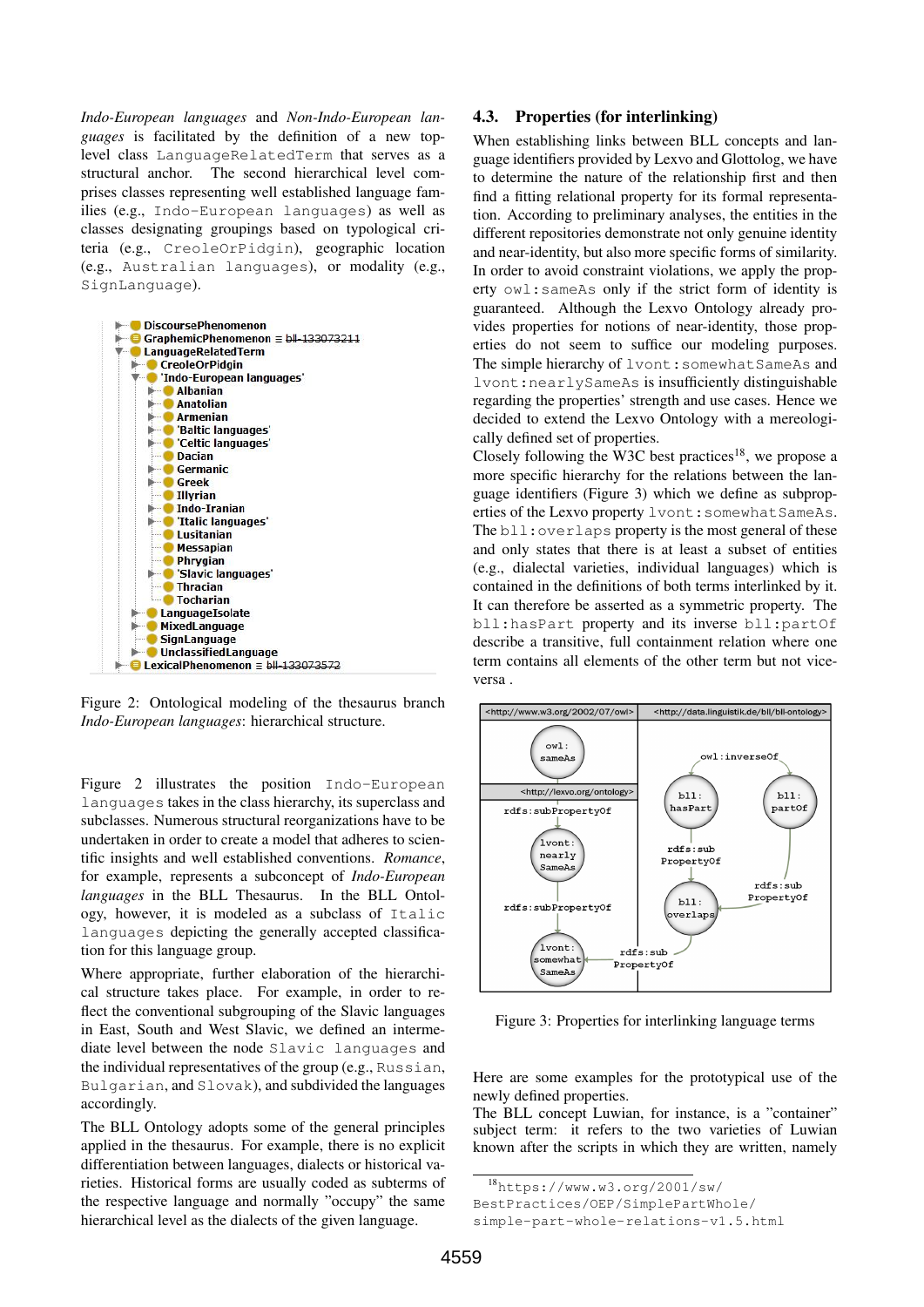*Indo-European languages* and *Non-Indo-European languages* is facilitated by the definition of a new toplevel class LanguageRelatedTerm that serves as a structural anchor. The second hierarchical level comprises classes representing well established language families (e.g., Indo-European languages) as well as classes designating groupings based on typological criteria (e.g., CreoleOrPidgin), geographic location (e.g., Australian languages), or modality (e.g., SignLanguage).



Figure 2: Ontological modeling of the thesaurus branch *Indo-European languages*: hierarchical structure.

Figure 2 illustrates the position Indo-European languages takes in the class hierarchy, its superclass and subclasses. Numerous structural reorganizations have to be undertaken in order to create a model that adheres to scientific insights and well established conventions. *Romance*, for example, represents a subconcept of *Indo-European languages* in the BLL Thesaurus. In the BLL Ontology, however, it is modeled as a subclass of Italic languages depicting the generally accepted classification for this language group.

Where appropriate, further elaboration of the hierarchical structure takes place. For example, in order to reflect the conventional subgrouping of the Slavic languages in East, South and West Slavic, we defined an intermediate level between the node Slavic languages and the individual representatives of the group (e.g., Russian, Bulgarian, and Slovak), and subdivided the languages accordingly.

The BLL Ontology adopts some of the general principles applied in the thesaurus. For example, there is no explicit differentiation between languages, dialects or historical varieties. Historical forms are usually coded as subterms of the respective language and normally "occupy" the same hierarchical level as the dialects of the given language.

## 4.3. Properties (for interlinking)

When establishing links between BLL concepts and language identifiers provided by Lexvo and Glottolog, we have to determine the nature of the relationship first and then find a fitting relational property for its formal representation. According to preliminary analyses, the entities in the different repositories demonstrate not only genuine identity and near-identity, but also more specific forms of similarity. In order to avoid constraint violations, we apply the property owl:sameAs only if the strict form of identity is guaranteed. Although the Lexvo Ontology already provides properties for notions of near-identity, those properties do not seem to suffice our modeling purposes. The simple hierarchy of lvont: somewhat SameAs and lvont:nearlySameAs is insufficiently distinguishable regarding the properties' strength and use cases. Hence we decided to extend the Lexvo Ontology with a mereologically defined set of properties.

Closely following the W3C best practices<sup>18</sup>, we propose a more specific hierarchy for the relations between the language identifiers (Figure 3) which we define as subproperties of the Lexvo property lvont: somewhat SameAs. The bll: overlaps property is the most general of these and only states that there is at least a subset of entities (e.g., dialectal varieties, individual languages) which is contained in the definitions of both terms interlinked by it. It can therefore be asserted as a symmetric property. The bll:hasPart property and its inverse bll:partOf describe a transitive, full containment relation where one term contains all elements of the other term but not viceversa .



Figure 3: Properties for interlinking language terms

Here are some examples for the prototypical use of the newly defined properties.

The BLL concept Luwian, for instance, is a "container" subject term: it refers to the two varieties of Luwian known after the scripts in which they are written, namely

<sup>18</sup>https://www.w3.org/2001/sw/

BestPractices/OEP/SimplePartWhole/

simple-part-whole-relations-v1.5.html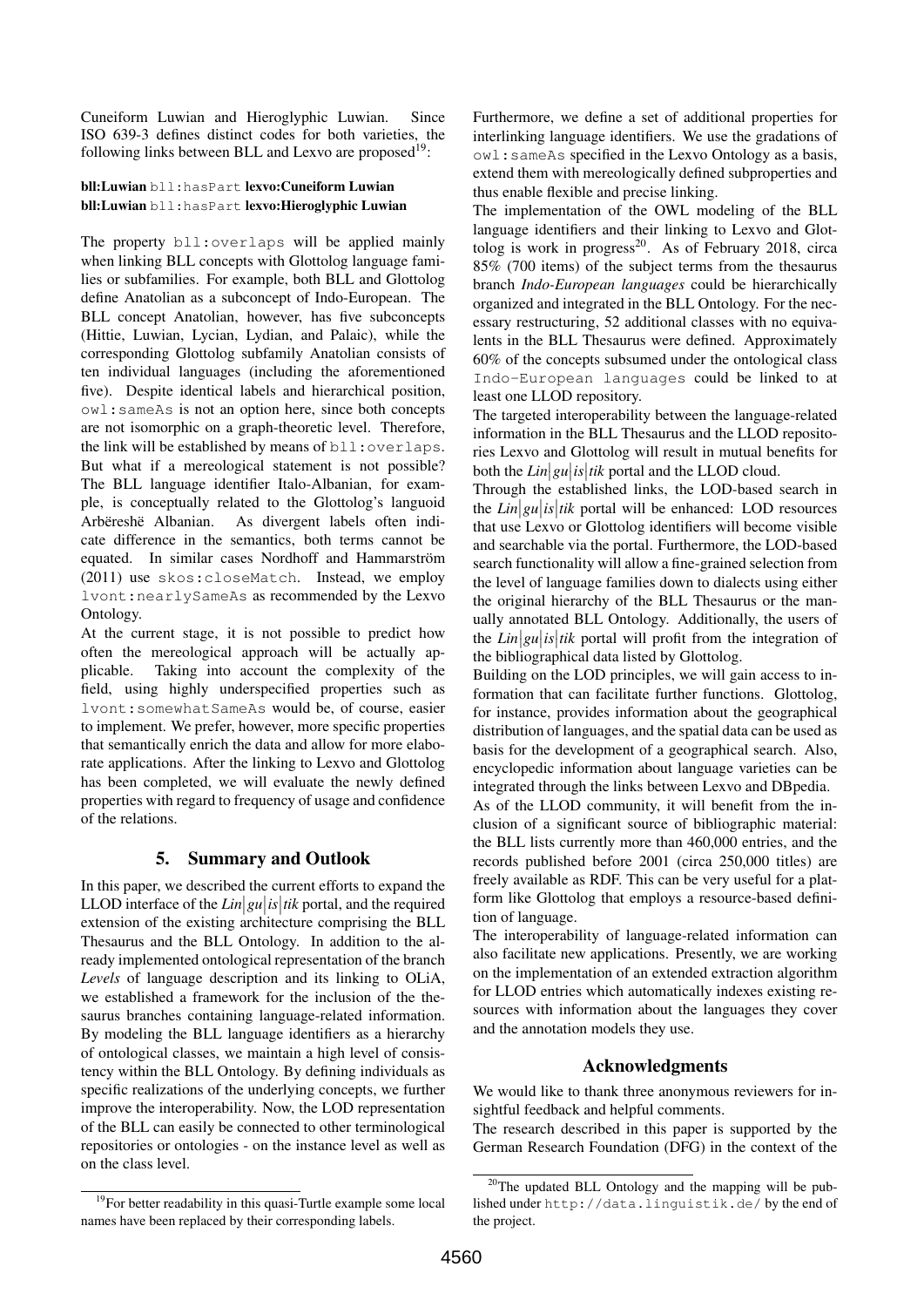Cuneiform Luwian and Hieroglyphic Luwian. Since ISO 639-3 defines distinct codes for both varieties, the following links between BLL and Lexvo are proposed<sup>19</sup>:

#### bll:Luwian bll:hasPart lexvo:Cuneiform Luwian bll:Luwian bll:hasPart lexvo:Hieroglyphic Luwian

The property bll:overlaps will be applied mainly when linking BLL concepts with Glottolog language families or subfamilies. For example, both BLL and Glottolog define Anatolian as a subconcept of Indo-European. The BLL concept Anatolian, however, has five subconcepts (Hittie, Luwian, Lycian, Lydian, and Palaic), while the corresponding Glottolog subfamily Anatolian consists of ten individual languages (including the aforementioned five). Despite identical labels and hierarchical position, owl:sameAs is not an option here, since both concepts are not isomorphic on a graph-theoretic level. Therefore, the link will be established by means of bll:overlaps. But what if a mereological statement is not possible? The BLL language identifier Italo-Albanian, for example, is conceptually related to the Glottolog's languoid Arbëreshë Albanian. As divergent labels often indicate difference in the semantics, both terms cannot be equated. In similar cases Nordhoff and Hammarström (2011) use skos:closeMatch. Instead, we employ lvont:nearlySameAs as recommended by the Lexvo Ontology.

At the current stage, it is not possible to predict how often the mereological approach will be actually applicable. Taking into account the complexity of the field, using highly underspecified properties such as lvont:somewhatSameAs would be, of course, easier to implement. We prefer, however, more specific properties that semantically enrich the data and allow for more elaborate applications. After the linking to Lexvo and Glottolog has been completed, we will evaluate the newly defined properties with regard to frequency of usage and confidence of the relations.

# 5. Summary and Outlook

In this paper, we described the current efforts to expand the LLOD interface of the  $Lin|gu|$  *is*  $|tik$  portal, and the required extension of the existing architecture comprising the BLL Thesaurus and the BLL Ontology. In addition to the already implemented ontological representation of the branch *Levels* of language description and its linking to OLiA, we established a framework for the inclusion of the thesaurus branches containing language-related information. By modeling the BLL language identifiers as a hierarchy of ontological classes, we maintain a high level of consistency within the BLL Ontology. By defining individuals as specific realizations of the underlying concepts, we further improve the interoperability. Now, the LOD representation of the BLL can easily be connected to other terminological repositories or ontologies - on the instance level as well as on the class level.

<sup>19</sup>For better readability in this quasi-Turtle example some local names have been replaced by their corresponding labels.

Furthermore, we define a set of additional properties for interlinking language identifiers. We use the gradations of owl:sameAs specified in the Lexvo Ontology as a basis, extend them with mereologically defined subproperties and thus enable flexible and precise linking.

The implementation of the OWL modeling of the BLL language identifiers and their linking to Lexvo and Glottolog is work in progress<sup>20</sup>. As of February 2018, circa 85% (700 items) of the subject terms from the thesaurus branch *Indo-European languages* could be hierarchically organized and integrated in the BLL Ontology. For the necessary restructuring, 52 additional classes with no equivalents in the BLL Thesaurus were defined. Approximately 60% of the concepts subsumed under the ontological class Indo-European languages could be linked to at least one LLOD repository.

The targeted interoperability between the language-related information in the BLL Thesaurus and the LLOD repositories Lexvo and Glottolog will result in mutual benefits for both the  $Lin|gu|$  *is* | *iik* portal and the LLOD cloud.

Through the established links, the LOD-based search in the  $Lin|gu|$ *is* |*tik* portal will be enhanced: LOD resources that use Lexvo or Glottolog identifiers will become visible and searchable via the portal. Furthermore, the LOD-based search functionality will allow a fine-grained selection from the level of language families down to dialects using either the original hierarchy of the BLL Thesaurus or the manually annotated BLL Ontology. Additionally, the users of the  $Lin|gu|$  *is*  $|tik$  portal will profit from the integration of the bibliographical data listed by Glottolog.

Building on the LOD principles, we will gain access to information that can facilitate further functions. Glottolog, for instance, provides information about the geographical distribution of languages, and the spatial data can be used as basis for the development of a geographical search. Also, encyclopedic information about language varieties can be integrated through the links between Lexvo and DBpedia.

As of the LLOD community, it will benefit from the inclusion of a significant source of bibliographic material: the BLL lists currently more than 460,000 entries, and the records published before 2001 (circa 250,000 titles) are freely available as RDF. This can be very useful for a platform like Glottolog that employs a resource-based definition of language.

The interoperability of language-related information can also facilitate new applications. Presently, we are working on the implementation of an extended extraction algorithm for LLOD entries which automatically indexes existing resources with information about the languages they cover and the annotation models they use.

### Acknowledgments

We would like to thank three anonymous reviewers for insightful feedback and helpful comments.

The research described in this paper is supported by the German Research Foundation (DFG) in the context of the

 $20$ The updated BLL Ontology and the mapping will be published under http://data.linguistik.de/ by the end of the project.